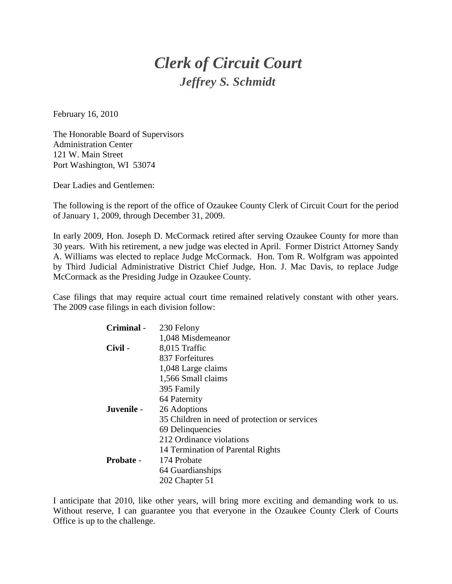## *Clerk of Circuit Court Jeffrey S. Schmidt*

February 16, 2010

The Honorable Board of Supervisors Administration Center 121 W. Main Street Port Washington, WI 53074

Dear Ladies and Gentlemen:

The following is the report of the office of Ozaukee County Clerk of Circuit Court for the period of January 1, 2009, through December 31, 2009.

In early 2009, Hon. Joseph D. McCormack retired after serving Ozaukee County for more than 30 years. With his retirement, a new judge was elected in April. Former District Attorney Sandy A. Williams was elected to replace Judge McCormack. Hon. Tom R. Wolfgram was appointed by Third Judicial Administrative District Chief Judge, Hon. J. Mac Davis, to replace Judge McCormack as the Presiding Judge in Ozaukee County.

Case filings that may require actual court time remained relatively constant with other years. The 2009 case filings in each division follow:

| Criminal - | 230 Felony                                    |
|------------|-----------------------------------------------|
|            | 1,048 Misdemeanor                             |
| Civil -    | 8,015 Traffic                                 |
|            | 837 Forfeitures                               |
|            | 1,048 Large claims                            |
|            | 1,566 Small claims                            |
|            | 395 Family                                    |
|            | 64 Paternity                                  |
| Juvenile - | 26 Adoptions                                  |
|            | 35 Children in need of protection or services |
|            | 69 Delinquencies                              |
|            | 212 Ordinance violations                      |
|            | 14 Termination of Parental Rights             |
| Probate -  | 174 Probate                                   |
|            | 64 Guardianships                              |
|            | 202 Chapter 51                                |

I anticipate that 2010, like other years, will bring more exciting and demanding work to us. Without reserve, I can guarantee you that everyone in the Ozaukee County Clerk of Courts Office is up to the challenge.